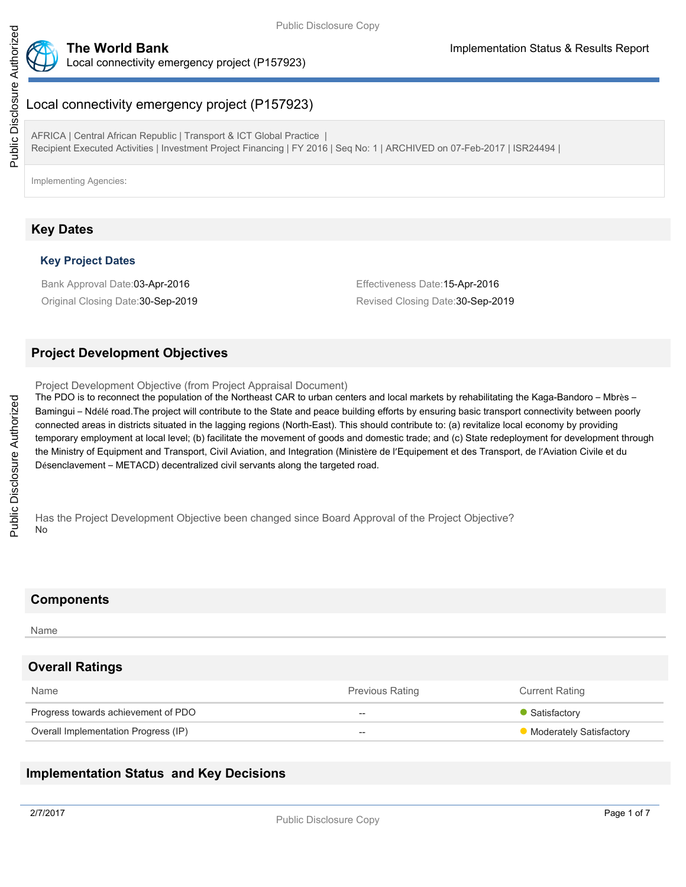

# Local connectivity emergency project (P157923)

AFRICA | Central African Republic | Transport & ICT Global Practice | Recipient Executed Activities | Investment Project Financing | FY 2016 | Seq No: 1 | ARCHIVED on 07-Feb-2017 | ISR24494 |

Implementing Agencies:

## **Key Dates**

### **Key Project Dates**

Bank Approval Date:03-Apr-2016 Effectiveness Date:15-Apr-2016

Original Closing Date: 30-Sep-2019 **Revised Closing Date: 30-Sep-2019** Revised Closing Date: 30-Sep-2019

### **Project Development Objectives**

Project Development Objective (from Project Appraisal Document)

The PDO is to reconnect the population of the Northeast CAR to urban centers and local markets by rehabilitating the Kaga-Bandoro – Mbrès – Bamingui – Ndélé road.The project will contribute to the State and peace building efforts by ensuring basic transport connectivity between poorly connected areas in districts situated in the lagging regions (North-East). This should contribute to: (a) revitalize local economy by providing temporary employment at local level; (b) facilitate the movement of goods and domestic trade; and (c) State redeployment for development through the Ministry of Equipment and Transport, Civil Aviation, and Integration (Ministère de l'Equipement et des Transport, de l'Aviation Civile et du Désenclavement – METACD) decentralized civil servants along the targeted road.

Has the Project Development Objective been changed since Board Approval of the Project Objective? No

### **Components**

#### Name

### **Overall Ratings**

| Name                                 | <b>Previous Rating</b> | <b>Current Rating</b>   |
|--------------------------------------|------------------------|-------------------------|
| Progress towards achievement of PDO  | --                     | Satisfactory            |
| Overall Implementation Progress (IP) | $- -$                  | Moderately Satisfactory |

### **Implementation Status and Key Decisions**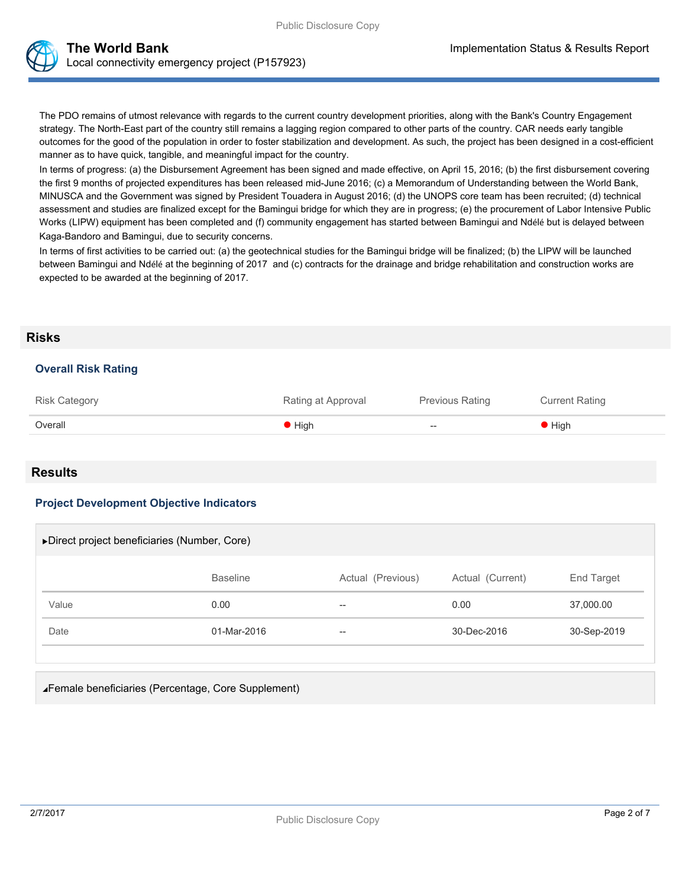The PDO remains of utmost relevance with regards to the current country development priorities, along with the Bank's Country Engagement strategy. The North-East part of the country still remains a lagging region compared to other parts of the country. CAR needs early tangible outcomes for the good of the population in order to foster stabilization and development. As such, the project has been designed in a cost-efficient manner as to have quick, tangible, and meaningful impact for the country.

In terms of progress: (a) the Disbursement Agreement has been signed and made effective, on April 15, 2016; (b) the first disbursement covering the first 9 months of projected expenditures has been released mid-June 2016; (c) a Memorandum of Understanding between the World Bank, MINUSCA and the Government was signed by President Touadera in August 2016; (d) the UNOPS core team has been recruited; (d) technical assessment and studies are finalized except for the Bamingui bridge for which they are in progress; (e) the procurement of Labor Intensive Public Works (LIPW) equipment has been completed and (f) community engagement has started between Bamingui and Ndélé but is delayed between Kaga-Bandoro and Bamingui, due to security concerns.

In terms of first activities to be carried out: (a) the geotechnical studies for the Bamingui bridge will be finalized; (b) the LIPW will be launched between Bamingui and Ndélé at the beginning of 2017 and (c) contracts for the drainage and bridge rehabilitation and construction works are expected to be awarded at the beginning of 2017.

### **Risks**

### **Overall Risk Rating**

| <b>Risk Category</b> | Rating at Approval | <b>Previous Rating</b> | <b>Current Rating</b>      |
|----------------------|--------------------|------------------------|----------------------------|
| Overall              | High               | $-$                    | $\blacktriangleright$ High |

### **Results**

### **Project Development Objective Indicators**

| ▶ Direct project beneficiaries (Number, Core) |                 |                   |                  |             |  |  |
|-----------------------------------------------|-----------------|-------------------|------------------|-------------|--|--|
|                                               | <b>Baseline</b> | Actual (Previous) | Actual (Current) | End Target  |  |  |
| Value                                         | 0.00            | $- -$             | 0.00             | 37,000.00   |  |  |
| Date                                          | 01-Mar-2016     | $\hspace{0.05cm}$ | 30-Dec-2016      | 30-Sep-2019 |  |  |
|                                               |                 |                   |                  |             |  |  |

Female beneficiaries (Percentage, Core Supplement)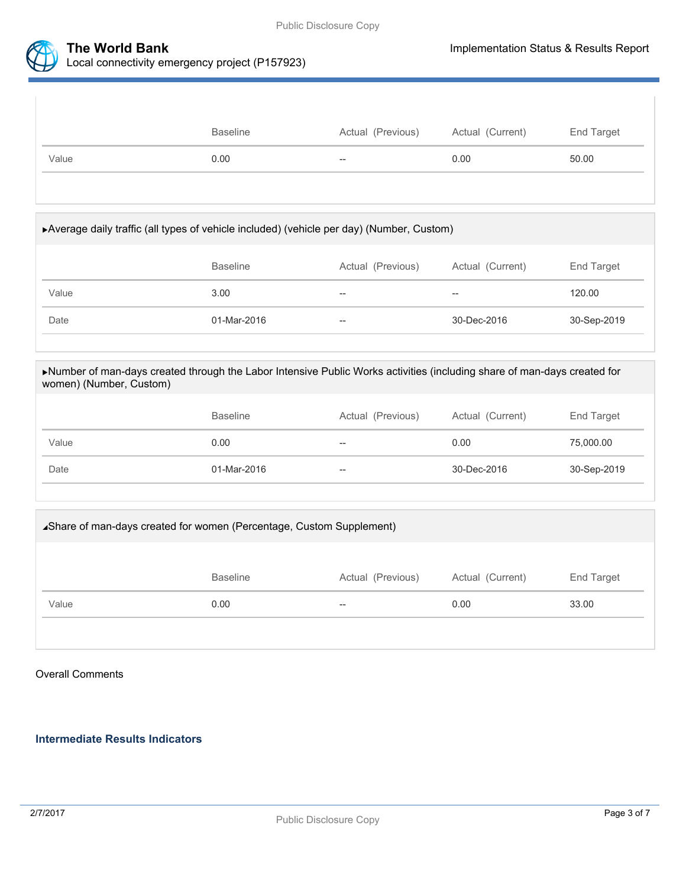



### **The World Bank Implementation Status & Results Report** Local connectivity emergency project (P157923)

|       | <b>Baseline</b> | Actual (Previous)        | Actual (Current) | End Target |
|-------|-----------------|--------------------------|------------------|------------|
| Value | 0.00            | $\overline{\phantom{m}}$ | 0.00             | 50.00      |
|       |                 |                          |                  |            |

# Average daily traffic (all types of vehicle included) (vehicle per day) (Number, Custom) Baseline **Actual (Previous)** Actual (Current) End Target Value 3.00 -- - - - - - - - 120.00 Date 01-Mar-2016 -- 30-Dec-2016 30-Sep-2019

### Number of man-days created through the Labor Intensive Public Works activities (including share of man-days created for women) (Number, Custom)

|       | <b>Baseline</b> | Actual (Previous) | Actual (Current) | End Target  |
|-------|-----------------|-------------------|------------------|-------------|
| Value | 0.00            | $- -$             | 0.00             | 75,000.00   |
| Date  | 01-Mar-2016     | $- -$             | 30-Dec-2016      | 30-Sep-2019 |

# Share of man-days created for women (Percentage, Custom Supplement) Baseline **Actual (Previous)** Actual (Current) End Target Value 6 23.00 0.00 -- 0.00 0.00 -- 0.00 0.00 33.00

### Overall Comments

### **Intermediate Results Indicators**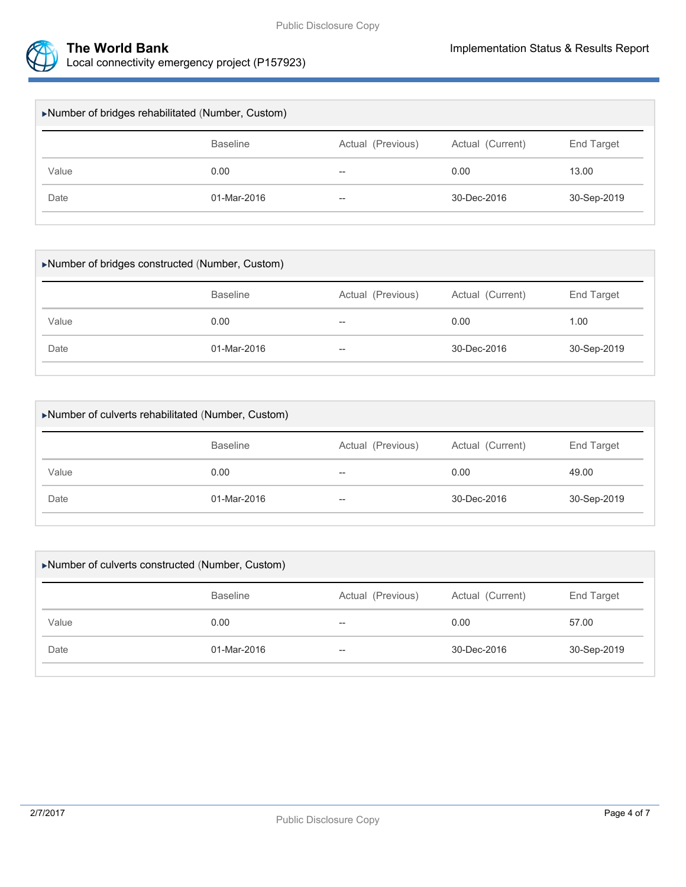

| Number of bridges rehabilitated (Number, Custom) |                 |                   |                  |             |  |  |
|--------------------------------------------------|-----------------|-------------------|------------------|-------------|--|--|
|                                                  | <b>Baseline</b> | Actual (Previous) | Actual (Current) | End Target  |  |  |
| Value                                            | 0.00            | $- -$             | 0.00             | 13.00       |  |  |
| Date                                             | 01-Mar-2016     | $- -$             | 30-Dec-2016      | 30-Sep-2019 |  |  |
|                                                  |                 |                   |                  |             |  |  |

| Number of bridges constructed (Number, Custom) |                   |                  |             |  |  |
|------------------------------------------------|-------------------|------------------|-------------|--|--|
| <b>Baseline</b>                                | Actual (Previous) | Actual (Current) | End Target  |  |  |
| 0.00                                           | $- -$             | 0.00             | 1.00        |  |  |
| 01-Mar-2016                                    | $- -$             | 30-Dec-2016      | 30-Sep-2019 |  |  |
|                                                |                   |                  |             |  |  |

| Number of culverts rehabilitated (Number, Custom) |                 |                   |                  |             |  |  |
|---------------------------------------------------|-----------------|-------------------|------------------|-------------|--|--|
|                                                   | <b>Baseline</b> | Actual (Previous) | Actual (Current) | End Target  |  |  |
| Value                                             | 0.00            | $- -$             | 0.00             | 49.00       |  |  |
| Date                                              | 01-Mar-2016     | $\hspace{0.05cm}$ | 30-Dec-2016      | 30-Sep-2019 |  |  |
|                                                   |                 |                   |                  |             |  |  |

| ▶Number of culverts constructed (Number, Custom) |                   |                  |             |  |  |
|--------------------------------------------------|-------------------|------------------|-------------|--|--|
| <b>Baseline</b>                                  | Actual (Previous) | Actual (Current) | End Target  |  |  |
| 0.00                                             | $- -$             | 0.00             | 57.00       |  |  |
| 01-Mar-2016                                      | $- -$             | 30-Dec-2016      | 30-Sep-2019 |  |  |
|                                                  |                   |                  |             |  |  |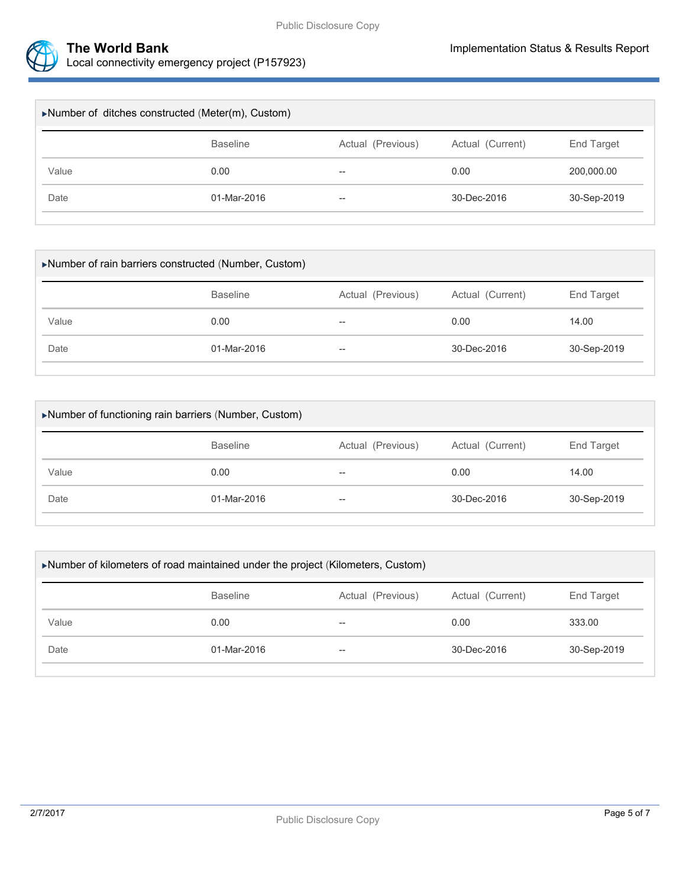

|                 | $\blacktriangleright$ Number of ditches constructed (Meter(m), Custom) |                   |                  |  |  |  |  |
|-----------------|------------------------------------------------------------------------|-------------------|------------------|--|--|--|--|
| <b>Baseline</b> |                                                                        |                   | End Target       |  |  |  |  |
| 0.00            | $\overline{\phantom{m}}$                                               | 0.00              | 200,000.00       |  |  |  |  |
| 01-Mar-2016     | $\overline{\phantom{m}}$                                               | 30-Dec-2016       | 30-Sep-2019      |  |  |  |  |
|                 |                                                                        | Actual (Previous) | Actual (Current) |  |  |  |  |

| Number of rain barriers constructed (Number, Custom) |                 |                   |                  |             |  |  |
|------------------------------------------------------|-----------------|-------------------|------------------|-------------|--|--|
|                                                      | <b>Baseline</b> | Actual (Previous) | Actual (Current) | End Target  |  |  |
| Value                                                | 0.00            | --                | 0.00             | 14.00       |  |  |
| Date                                                 | 01-Mar-2016     | $- -$             | 30-Dec-2016      | 30-Sep-2019 |  |  |
|                                                      |                 |                   |                  |             |  |  |

| Number of functioning rain barriers (Number, Custom) |                 |                   |                  |             |  |  |
|------------------------------------------------------|-----------------|-------------------|------------------|-------------|--|--|
|                                                      | <b>Baseline</b> | Actual (Previous) | Actual (Current) | End Target  |  |  |
| Value                                                | 0.00            | --                | 0.00             | 14.00       |  |  |
| Date                                                 | 01-Mar-2016     | $- -$             | 30-Dec-2016      | 30-Sep-2019 |  |  |
|                                                      |                 |                   |                  |             |  |  |

| Number of kilometers of road maintained under the project (Kilometers, Custom) |                 |                   |                  |             |  |
|--------------------------------------------------------------------------------|-----------------|-------------------|------------------|-------------|--|
|                                                                                | <b>Baseline</b> | Actual (Previous) | Actual (Current) | End Target  |  |
| Value                                                                          | 0.00            | --                | 0.00             | 333.00      |  |
| Date                                                                           | 01-Mar-2016     | --                | 30-Dec-2016      | 30-Sep-2019 |  |
|                                                                                |                 |                   |                  |             |  |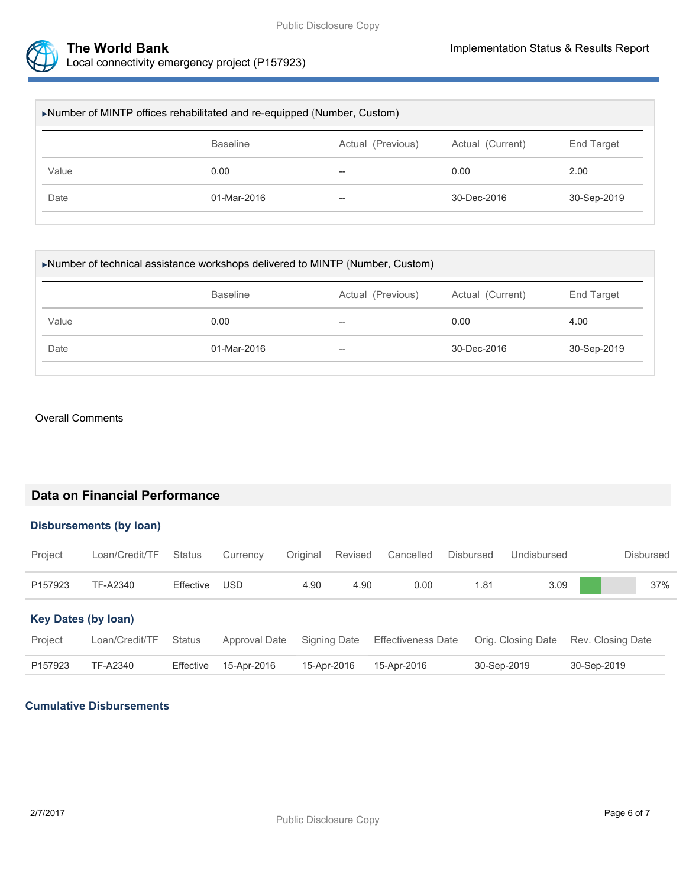

| ▶Number of MINTP offices rehabilitated and re-equipped (Number, Custom) |                 |                   |                  |                   |  |
|-------------------------------------------------------------------------|-----------------|-------------------|------------------|-------------------|--|
|                                                                         | <b>Baseline</b> | Actual (Previous) | Actual (Current) | <b>End Target</b> |  |
| Value                                                                   | 0.00            | $- -$             | 0.00             | 2.00              |  |
| Date                                                                    | 01-Mar-2016     | $- -$             | 30-Dec-2016      | 30-Sep-2019       |  |
|                                                                         |                 |                   |                  |                   |  |

| ▶Number of technical assistance workshops delivered to MINTP (Number, Custom) |                 |                   |                  |                   |  |
|-------------------------------------------------------------------------------|-----------------|-------------------|------------------|-------------------|--|
|                                                                               | <b>Baseline</b> | Actual (Previous) | Actual (Current) | <b>End Target</b> |  |
| Value                                                                         | 0.00            | --                | 0.00             | 4.00              |  |
| Date                                                                          | 01-Mar-2016     | $- -$             | 30-Dec-2016      | 30-Sep-2019       |  |

### Overall Comments

### **Data on Financial Performance**

### **Disbursements (by loan)**

| Project                    | Loan/Credit/TF | <b>Status</b> | Currency      | Original    | Revised      | Cancelled                 | Disbursed | Undisbursed        | <b>Disbursed</b>  |
|----------------------------|----------------|---------------|---------------|-------------|--------------|---------------------------|-----------|--------------------|-------------------|
| P157923                    | TF-A2340       | Effective     | USD           | 4.90        | 4.90         | 0.00                      | 1.81      | 3.09               | 37%               |
| <b>Key Dates (by loan)</b> |                |               |               |             |              |                           |           |                    |                   |
| Project                    | Loan/Credit/TF | <b>Status</b> | Approval Date |             | Signing Date | <b>Effectiveness Date</b> |           | Orig. Closing Date | Rev. Closing Date |
| P157923                    | TF-A2340       | Effective     | 15-Apr-2016   | 15-Apr-2016 |              | 15-Apr-2016               |           | 30-Sep-2019        | 30-Sep-2019       |

### **Cumulative Disbursements**